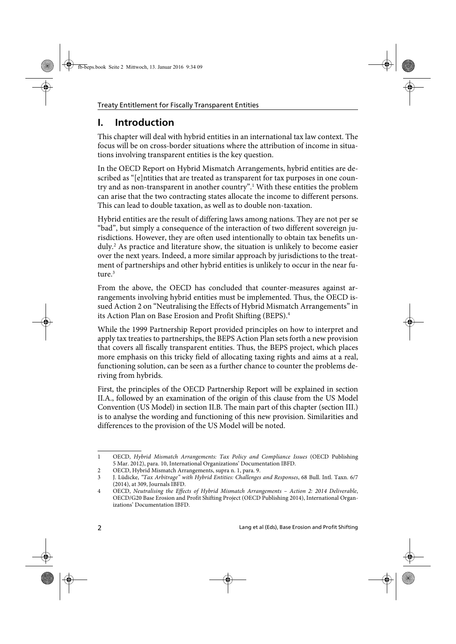## **I. Introduction**

This chapter will deal with hybrid entities in an international tax law context. The focus will be on cross-border situations where the attribution of income in situations involving transparent entities is the key question.

In the OECD Report on Hybrid Mismatch Arrangements, hybrid entities are described as "[e]ntities that are treated as transparent for tax purposes in one country and as non-transparent in another country".<sup>1</sup> With these entities the problem can arise that the two contracting states allocate the income to different persons. This can lead to double taxation, as well as to double non-taxation.

Hybrid entities are the result of differing laws among nations. They are not per se "bad", but simply a consequence of the interaction of two different sovereign jurisdictions. However, they are often used intentionally to obtain tax benefits unduly.<sup>2</sup> As practice and literature show, the situation is unlikely to become easier over the next years. Indeed, a more similar approach by jurisdictions to the treatment of partnerships and other hybrid entities is unlikely to occur in the near future.<sup>3</sup>

From the above, the OECD has concluded that counter-measures against arrangements involving hybrid entities must be implemented. Thus, the OECD issued Action 2 on "Neutralising the Effects of Hybrid Mismatch Arrangements" in its Action Plan on Base Erosion and Profit Shifting (BEPS).<sup>4</sup>

While the 1999 Partnership Report provided principles on how to interpret and apply tax treaties to partnerships, the BEPS Action Plan sets forth a new provision that covers all fiscally transparent entities. Thus, the BEPS project, which places more emphasis on this tricky field of allocating taxing rights and aims at a real, functioning solution, can be seen as a further chance to counter the problems deriving from hybrids.

First, the principles of the OECD Partnership Report will be explained in section II.A., followed by an examination of the origin of this clause from the US Model Convention (US Model) in section II.B. The main part of this chapter (section III.) is to analyse the wording and functioning of this new provision. Similarities and differences to the provision of the US Model will be noted.

<sup>1</sup> OECD, Hybrid Mismatch Arrangements: Tax Policy and Compliance Issues (OECD Publishing 5 Mar. 2012), para. 10, International Organizations' Documentation IBFD.

<sup>2</sup> OECD, Hybrid Mismatch Arrangements, supra n. 1, para. 9.

<sup>3</sup> J. Lüdicke, "Tax Arbitrage" with Hybrid Entities: Challenges and Responses, 68 Bull. Intl. Taxn. 6/7 (2014), at 309, Journals IBFD.

<sup>4</sup> OECD, Neutralising the Effects of Hybrid Mismatch Arrangements – Action 2: 2014 Deliverable, OECD/G20 Base Erosion and Profit Shifting Project (OECD Publishing 2014), International Organizations' Documentation IBFD.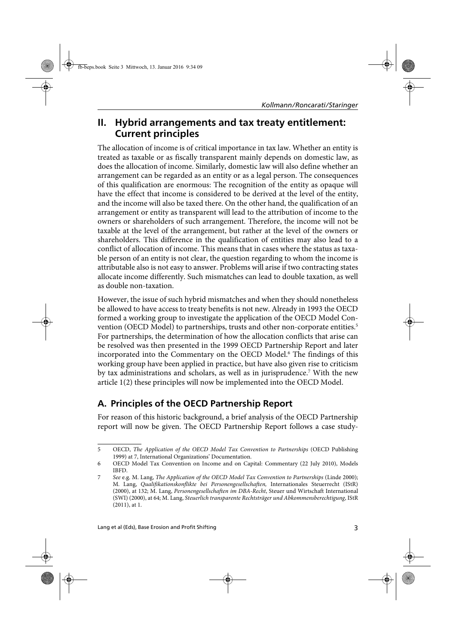## **II. Hybrid arrangements and tax treaty entitlement: Current principles**

The allocation of income is of critical importance in tax law. Whether an entity is treated as taxable or as fiscally transparent mainly depends on domestic law, as does the allocation of income. Similarly, domestic law will also define whether an arrangement can be regarded as an entity or as a legal person. The consequences of this qualification are enormous: The recognition of the entity as opaque will have the effect that income is considered to be derived at the level of the entity, and the income will also be taxed there. On the other hand, the qualification of an arrangement or entity as transparent will lead to the attribution of income to the owners or shareholders of such arrangement. Therefore, the income will not be taxable at the level of the arrangement, but rather at the level of the owners or shareholders. This difference in the qualification of entities may also lead to a conflict of allocation of income. This means that in cases where the status as taxable person of an entity is not clear, the question regarding to whom the income is attributable also is not easy to answer. Problems will arise if two contracting states allocate income differently. Such mismatches can lead to double taxation, as well as double non-taxation.

However, the issue of such hybrid mismatches and when they should nonetheless be allowed to have access to treaty benefits is not new. Already in 1993 the OECD formed a working group to investigate the application of the OECD Model Convention (OECD Model) to partnerships, trusts and other non-corporate entities.<sup>5</sup> For partnerships, the determination of how the allocation conflicts that arise can be resolved was then presented in the 1999 OECD Partnership Report and later incorporated into the Commentary on the OECD Model.<sup>6</sup> The findings of this working group have been applied in practice, but have also given rise to criticism by tax administrations and scholars, as well as in jurisprudence.<sup>7</sup> With the new article 1(2) these principles will now be implemented into the OECD Model.

## **A. Principles of the OECD Partnership Report**

For reason of this historic background, a brief analysis of the OECD Partnership report will now be given. The OECD Partnership Report follows a case study-

<sup>5</sup> OECD, The Application of the OECD Model Tax Convention to Partnerships (OECD Publishing 1999) at 7, International Organizations' Documentation.

<sup>6</sup> OECD Model Tax Convention on Income and on Capital: Commentary (22 July 2010), Models IBFD.

<sup>7</sup> See e.g. M. Lang, The Application of the OECD Model Tax Convention to Partnerships (Linde 2000); M. Lang, Qualifikationskonflikte bei Personengesellschaften, Internationales Steuerrecht (IStR) (2000), at 132; M. Lang, Personengesellschaften im DBA-Recht, Steuer und Wirtschaft International (SWI) (2000), at 64; M. Lang, Steuerlich transparente Rechtsträger und Abkommensberechtigung, IStR (2011), at 1.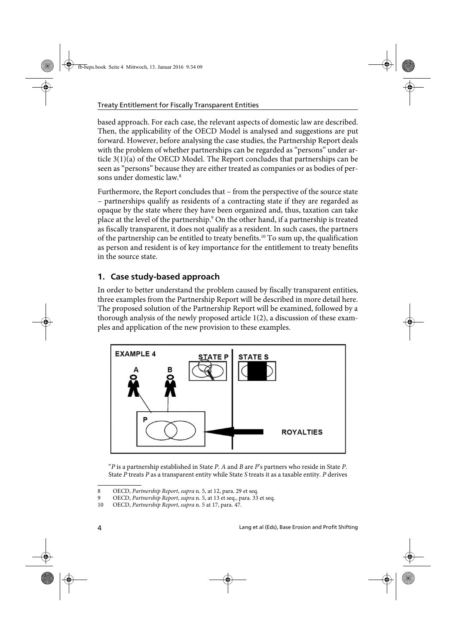based approach. For each case, the relevant aspects of domestic law are described. Then, the applicability of the OECD Model is analysed and suggestions are put forward. However, before analysing the case studies, the Partnership Report deals with the problem of whether partnerships can be regarded as "persons" under article 3(1)(a) of the OECD Model. The Report concludes that partnerships can be seen as "persons" because they are either treated as companies or as bodies of persons under domestic law.8

Furthermore, the Report concludes that – from the perspective of the source state – partnerships qualify as residents of a contracting state if they are regarded as opaque by the state where they have been organized and, thus, taxation can take place at the level of the partnership.9 On the other hand, if a partnership is treated as fiscally transparent, it does not qualify as a resident. In such cases, the partners of the partnership can be entitled to treaty benefits.10 To sum up, the qualification as person and resident is of key importance for the entitlement to treaty benefits in the source state.

## **1. Case study-based approach**

In order to better understand the problem caused by fiscally transparent entities, three examples from the Partnership Report will be described in more detail here. The proposed solution of the Partnership Report will be examined, followed by a thorough analysis of the newly proposed article 1(2), a discussion of these examples and application of the new provision to these examples.



"P is a partnership established in State P. A and B are P's partners who reside in State P. State  $P$  treats  $P$  as a transparent entity while State  $S$  treats it as a taxable entity.  $P$  derives

<sup>8</sup> OECD, Partnership Report, supra n. 5, at 12, para. 29 et seq.

<sup>9</sup> OECD, Partnership Report, supra n. 5, at 13 et seq., para. 33 et seq.

<sup>10</sup> OECD, Partnership Report, supra n. 5 at 17, para. 47.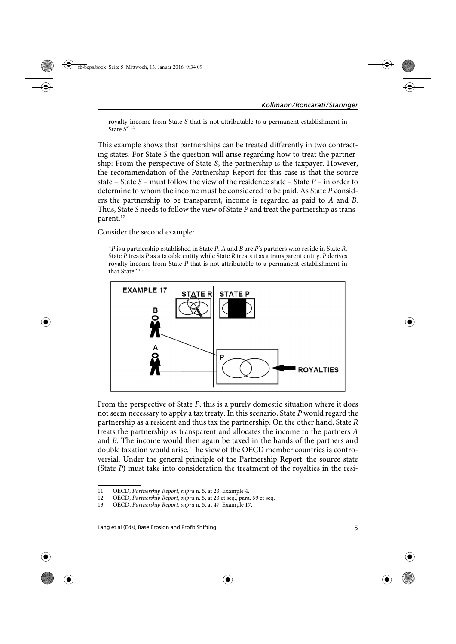royalty income from State S that is not attributable to a permanent establishment in State  $S^{n}$ <sup>11</sup>

This example shows that partnerships can be treated differently in two contracting states. For State S the question will arise regarding how to treat the partnership: From the perspective of State S, the partnership is the taxpayer. However, the recommendation of the Partnership Report for this case is that the source state – State  $S$  – must follow the view of the residence state – State  $P$  – in order to determine to whom the income must be considered to be paid. As State P considers the partnership to be transparent, income is regarded as paid to A and B. Thus, State S needs to follow the view of State  $P$  and treat the partnership as transparent.<sup>12</sup>

Consider the second example:

"P is a partnership established in State P. A and B are P's partners who reside in State R. State  $P$  treats  $P$  as a taxable entity while State  $R$  treats it as a transparent entity.  $P$  derives royalty income from State P that is not attributable to a permanent establishment in that State".13



From the perspective of State P, this is a purely domestic situation where it does not seem necessary to apply a tax treaty. In this scenario, State P would regard the partnership as a resident and thus tax the partnership. On the other hand, State R treats the partnership as transparent and allocates the income to the partners A and B. The income would then again be taxed in the hands of the partners and double taxation would arise. The view of the OECD member countries is controversial. Under the general principle of the Partnership Report, the source state (State P) must take into consideration the treatment of the royalties in the resi-

<sup>11</sup> OECD, Partnership Report, supra n. 5, at 23, Example 4.

<sup>12</sup> OECD, Partnership Report, supra n. 5, at 23 et seq., para. 59 et seq.

<sup>13</sup> OECD, Partnership Report, supra n. 5, at 47, Example 17.